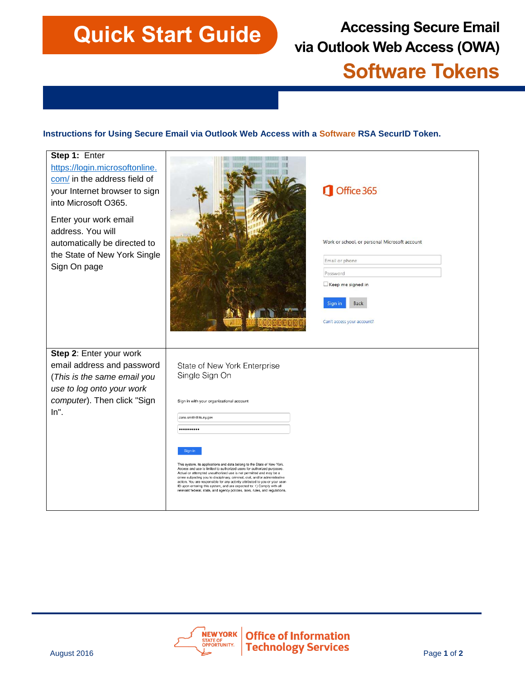# **Quick Start Guide**<br> **Accessing Secure Email**<br> **Accessing Secure Email via Outlook Web Access (OWA)**

# **Software Tokens**

## **Instructions for Using Secure Email via Outlook Web Access with a Software RSA SecurID Token.**

| Step 1: Enter<br>https://login.microsoftonline.<br>com/ in the address field of<br>your Internet browser to sign<br>into Microsoft O365.<br>Enter your work email<br>address. You will |                                                                                                                                                                                                                                                                                                                                                                                                                                                                                                                                                 | Office 365                                    |
|----------------------------------------------------------------------------------------------------------------------------------------------------------------------------------------|-------------------------------------------------------------------------------------------------------------------------------------------------------------------------------------------------------------------------------------------------------------------------------------------------------------------------------------------------------------------------------------------------------------------------------------------------------------------------------------------------------------------------------------------------|-----------------------------------------------|
| automatically be directed to<br>the State of New York Single                                                                                                                           |                                                                                                                                                                                                                                                                                                                                                                                                                                                                                                                                                 | Work or school, or personal Microsoft account |
| Sign On page                                                                                                                                                                           |                                                                                                                                                                                                                                                                                                                                                                                                                                                                                                                                                 | Email or phone                                |
|                                                                                                                                                                                        |                                                                                                                                                                                                                                                                                                                                                                                                                                                                                                                                                 | Password                                      |
|                                                                                                                                                                                        |                                                                                                                                                                                                                                                                                                                                                                                                                                                                                                                                                 | Keep me signed in                             |
|                                                                                                                                                                                        |                                                                                                                                                                                                                                                                                                                                                                                                                                                                                                                                                 | Back<br>Sign in                               |
|                                                                                                                                                                                        |                                                                                                                                                                                                                                                                                                                                                                                                                                                                                                                                                 | Can't access your account?                    |
| Step 2: Enter your work<br>email address and password<br>(This is the same email you<br>use to log onto your work                                                                      | State of New York Enterprise<br>Single Sign On                                                                                                                                                                                                                                                                                                                                                                                                                                                                                                  |                                               |
| computer). Then click "Sign<br>$In$ ".                                                                                                                                                 | Sign in with your organizational account                                                                                                                                                                                                                                                                                                                                                                                                                                                                                                        |                                               |
|                                                                                                                                                                                        | Jane.smith@its.ny.gov                                                                                                                                                                                                                                                                                                                                                                                                                                                                                                                           |                                               |
|                                                                                                                                                                                        |                                                                                                                                                                                                                                                                                                                                                                                                                                                                                                                                                 |                                               |
|                                                                                                                                                                                        | This system, its applications and data belong to the State of New York.<br>Access and use is limited to authorized users for authorized purposes.<br>Actual or attempted unauthorized use is not permitted and may be a<br>crime subjecting you to disciplinary, criminal, civil, and/or administrative<br>action. You are responsible for any activity attributed to you or your user-<br>ID upon entering this system, and are expected to: 1) Comply with all<br>relevant federal, state, and agency policies, laws, rules, and regulations, |                                               |